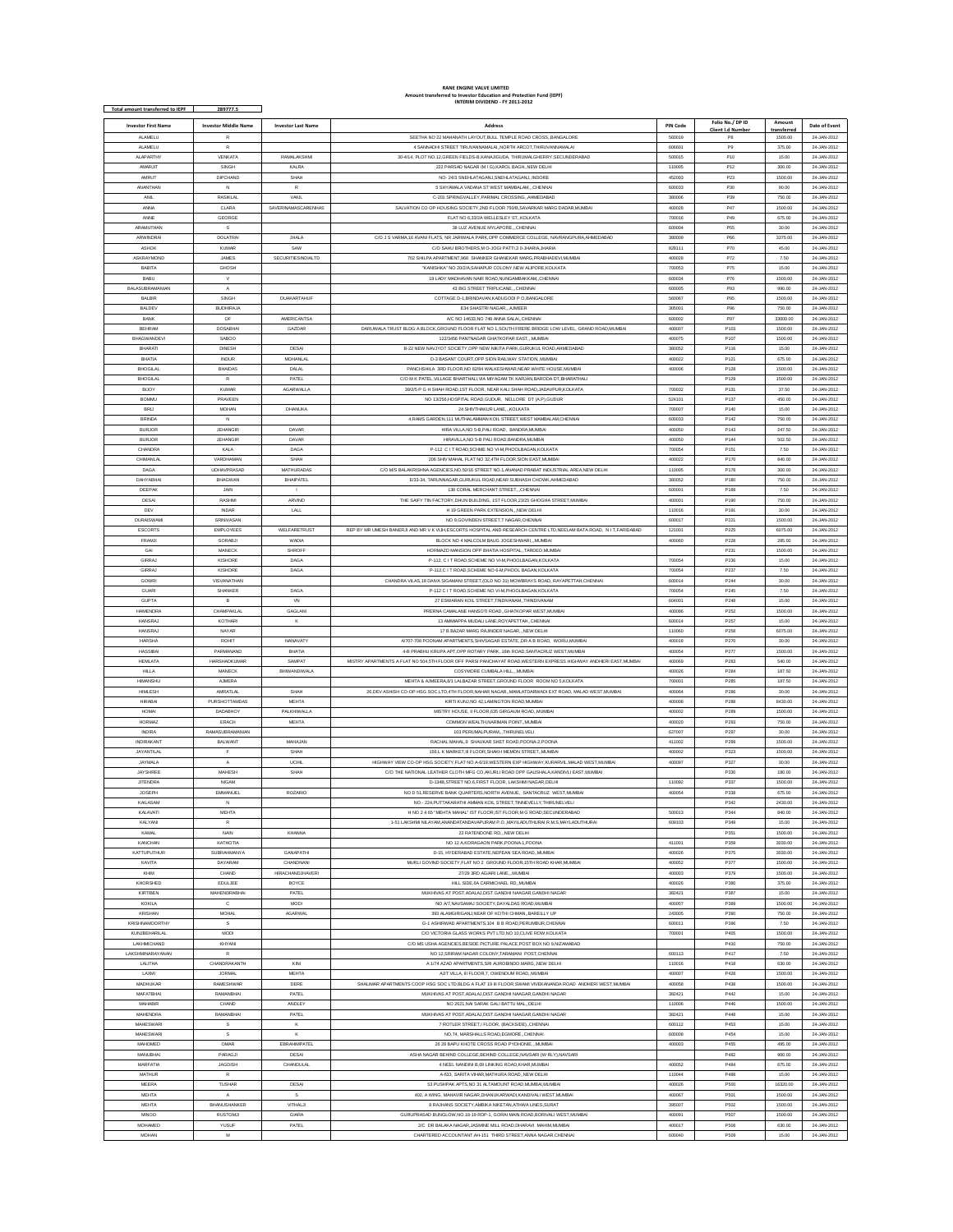## **INTERIM DIVIDEND - FY 2011-2012 RANE ENGINE VALVE LIMITED Amount transferred to Investor Education and Protection Fund (IEPF)**

| Total amount transferred to IEPF | 289777.5                    |                           | INTERIM DIVIDEND - FY 2011-2012                                                                                    |                 |                  |             |               |
|----------------------------------|-----------------------------|---------------------------|--------------------------------------------------------------------------------------------------------------------|-----------------|------------------|-------------|---------------|
|                                  |                             |                           |                                                                                                                    |                 | Folio No./ DP ID | Amount      |               |
| <b>Investor First Name</b>       | <b>Investor Middle Name</b> | <b>Investor Last Name</b> | <b>Address</b>                                                                                                     | <b>PIN Code</b> | Client I.d Numbe | transferred | Date of Event |
| <b>ALAMELU</b>                   | R                           |                           | SEETHA NO 22 MAHANATH LAYOUT, BULL TEMPLE ROAD CROSS, BANGALORE                                                    | 560019          | P8               | 1500.00     | 24-JAN-2012   |
| <b>ALAMELU</b>                   | $\tilde{R}$                 |                           | 4 SANNADHI STREET TIRUVANNAMALAI,,NORTH ARCOT,THIRUVANNAMAL                                                        | 60660           | P9               | 375.00      | 24-JAN-2012   |
| <b>ALAPARTHY</b>                 | VENKATA                     | RAMALAKSHM                | 30-4/14, PLOT NO.12.GREEN FIELDS-B.KANAJIGUDA. THIRUMALGHERRY.SECUNDERABAD                                         | 500015          | P10              | 15.00       | 24-JAN-2012   |
| <b>AMARJIT</b>                   | SINGH                       | KALRA                     | 222 PARSAD NAGAR (M I G), KAROL BAGH, NEW DELHI                                                                    | 110005          | P <sub>12</sub>  | 300.00      | 24-JAN-2012   |
| AMRUT                            | DIPCHAND                    | SHAH                      | NO- 24/3 SNEHLATAGANJ, SNEHLATAGANJ, INDORE                                                                        | 452003          | P <sub>23</sub>  | 1500.00     | 24-JAN-2012   |
| ANANTHAN                         | $\overline{N}$              | R                         | 5 SHYAMALA VADANA ST WEST MAMBALAMCHENNA                                                                           | 600033          | P30              | 90.00       | 24-JAN-2012   |
| <b>ANIL</b>                      | <b>RASKI AI</b>             | VAKIL                     | C-201 SPRINGVALLEY.PARIMAL CROSSINGAHMEDABAD                                                                       | 380006          | P39              | 750.00      | 24-JAN-2012   |
| ANNA                             | <b>CLARA</b>                | SAVERINAMASCARENHAS       | SALVATION CO OP HOUSING SOCIETY, 2ND FLOOR 750/B, SAVARKAR MARG DADAR, MUMBA                                       | 400028          | P47              | 1500.00     | 24-JAN-2012   |
| ANNE                             | GEORGE                      |                           | FLAT NO 6,33/2A WELLESLEY ST, KOLKATA                                                                              | 700016          | P49              | 675.00      | 24-JAN-2012   |
| ARAMUTHAN                        | s                           |                           | 38 LUZ AVENUE MYLAPORECHENNAI                                                                                      | 600004          | <b>P55</b>       | 30.00       | 24-JAN-2012   |
| ARWINDRA                         | <b>DOLATRAI</b>             | JHALA                     | C/O J S VARMA 16 AVANI FLATS, NR JARIWALA PARK OPP COMMERCE COLLEGE, NAVRANGPURA AHMEDABAD                         | 380009          | P66              | 3375.00     | 24-JAN-2012   |
| ASHOK                            | KUMAR                       | SAW                       | C/O SAHU BROTHERS,M O-JOGI PATTI,3 0-JHARIA,JHARIA                                                                 | 828111          | P70              | 45.00       | 24-JAN-2012   |
| ASKRAYMOND                       | JAMES                       | <b>SECURITIESINDIALTD</b> | 702 SHILPA APARTMENT.968 SHANKER GHANEKAR MARG.PRABHADEVI.MUMBAI                                                   | 400028          | P72              | 7.50        | 24-JAN-2012   |
| <b>BABITA</b>                    | GHOSH                       |                           | "KANISHKA" NO 20/2/A, SAHAPUR COLONY, NEW ALIPORE, KOLKATA                                                         | 700053          | P75              | 15.00       | 24-JAN-2012   |
| BABU                             | V                           |                           | 19 LADY MADHAVAN NAIR ROAD, NUNGAMBAKKAM, CHENNAI                                                                  | 600034          | P76              | 1500.00     | 24-JAN-2012   |
| BALASUBRAMANIAN                  | $\mathbf{A}$                |                           | 43 BIG STREET TRIPLICANECHENNAL                                                                                    | 600005          | P93              | 990.00      | 24-JAN-2012   |
| <b>BALBIR</b>                    | SINGH                       | DUAKARTAHUF               | COTTAGE D-1, BRINDAVAN, KADUGODI P O, BANGALORE                                                                    | 560067          | P95              | 1500.00     | 24-JAN-2012   |
| <b>BALDEV</b>                    | <b>BUDHIRAJA</b>            |                           | E34 SHASTRI NAGAR, ,,AJMEER                                                                                        | 305001          | P96              | 750.00      | 24-JAN-2012   |
| BANK                             | OF                          | <b>AMERICANTSA</b>        | A/C NO 14633 NO 748 ANNA SALAICHENNAI                                                                              | 600002          | P <sub>97</sub>  | 33000.00    | 24-JAN-2012   |
| <b>BEHRAM</b>                    | <b>DOSABHA</b>              | GAZDAR                    | DARUWALA TRUST BLDG A BLOCK, GROUND FLOOR FLAT NO 1, SOUTH FRERE BRIDGE LOW LEVEL, GRAND ROAD, MUMBAI              | 400007          | P103             | 1500.00     | 24-JAN-2012   |
|                                  |                             |                           |                                                                                                                    |                 |                  |             |               |
| BHAGWANDEV<br>BHARATI            | SABOO<br><b>DINESH</b>      |                           | 122/3456 PANTNAGAR GHATKOPAR EAST,,,MUMBA                                                                          | 400075          | P107             | 1500.00     | 24-JAN-2012   |
|                                  |                             | DESA                      | B-22 NEW NAVJYOT SOCIETY.OPP NEW NIKITA PARK.GURUKUL ROAD.AHMEDABAD                                                | 380052          | P116             | 15.00       | 24-JAN-2012   |
| BHATIA                           | INDUR                       | <b>MOHANLAL</b>           | D-3 BASANT COURT, OPP SION RAILWAY STATION, MUMBA                                                                  | 400022          | P121             | 675.00      | 24-JAN-2012   |
| BHOGILAL                         | <b>BHAIDAS</b>              | DALAL                     | PANCHSHILA 3RD FLOOR, NO 82/84 WALKESHWAR, NEAR WHITE HOUSE, MUMBAI                                                | 400006          | P128             | 1500.00     | 24-JAN-2012   |
| <b>BHOGILAL</b>                  | R                           | PATEL                     | C/O M K PATEL VILLAGE BHARTHALLVIA MIYAGAM TK KARJAN BARODA DT BHARATHALI                                          |                 | P129             | 1500.00     | 24-JAN-2012   |
| <b>BUOY</b>                      | <b>KUMAR</b>                | <b>AGARWALLA</b>          | 39/2/5 P G H SHAH ROAD.1ST FLOOR. NEAR KALI SHAH ROAD.JADAVPUR.KOLKATA                                             | 700032          | P13              | 37.50       | 24-JAN-2012   |
| <b>BOMMU</b>                     | PRAVEEN                     |                           | NO 13/256, HOSPITAL ROAD, GUDUR, NELLORE DT (A.P), GUDUR                                                           | 524101          | P13              | 450.00      | 24-JAN-2012   |
| <b>BRU</b>                       | MOHAN                       | DHANUKA                   | 24 SHIVTHAKUR LANEKOLKATA                                                                                          | 700007          | P140             | 15.00       | 24-JAN-2012   |
| <b>BRINDA</b>                    | $\mathbb N$                 |                           | 4, RAMS GARDEN, 111 MUTHALAMMAN KOIL STREET, WEST MAMBALAM, CHENNAI                                                | 600033          | P142             | 750.00      | 24-JAN-2012   |
| <b>BURJOR</b>                    | <b>JEHANGIE</b>             | DAVAR                     | HIRA VILLA, NO 5-B, PALI ROAD, BANDRA, MUMBA                                                                       | 400050          | P143             | 247.50      | 24-JAN-2012   |
| <b>BURJOR</b>                    | <b>JEHANGIR</b>             | DAVAR                     | HIRAVILLA NO 5-R PALLROAD RANDRA MUMRA                                                                             | 400050          | P144             | 502.50      | 24-JAN-2012   |
| CHANDRA                          | KALA                        | DAGA                      | P-112 C I T ROAD.SCHME NO VI-M.PHOOLBAGAN.KOLKATA                                                                  | 700054          | P15 <sup>*</sup> | 7.50        | 24-JAN-2012   |
| CHIMANLAL                        | VARDHAMAN                   | SHAH                      | 206 SHIV MAHAL FLAT NO 32,4TH FLOOR, SION EAST, MUMBA                                                              | 400022          | P170             | 840.00      | 24-JAN-2012   |
| DAGA                             | UDHAVPRASAD                 | MATHURADAS                | C/O M/S BALAKRISHNA AGENCIES, NO.50/16 STREET NO.1, ANANAD PRABAT INDUSTRIAL AREA, NEW DELHI                       | 110005          | P178             | 300.00      | 24-JAN-2012   |
| DAHYABHAI                        | <b>BHAGWAN</b>              | <b>BHAIPATEL</b>          | E/33-34, TARUNNAGAR.GURUKUL ROAD.NEAR SUBHASH CHOWK.AHMEDABAD                                                      | 380052          | P180             | 750.00      | 24-JAN-2012   |
| DEEPAK                           | JAIN                        |                           | 138 CORAL MERCHANT STREET, ,CHENNAL                                                                                | 600001          | P188             | 7.50        | 24-JAN-2012   |
| DESA                             | RASHM                       | ARVIND                    | THE SAIFY TIN FACTORY, DHUN BUILDING, 1ST FLOOR, 23/25 GHOGHA STREET, MUMBAI                                       | 400001          | P190             | 750.00      | 24-JAN-2012   |
| DEV                              | INDAR                       | LALL                      | H 19 GREEN PARK EXTENSION NEW DELH                                                                                 | 110016          | P19              | 30.00       | 24-JAN-2012   |
| DURAISWAM                        | SRINIVASAN                  |                           | NO 9, GOVINDEN STREET, T NAGAR, CHENNA                                                                             | 600017          | P22              | 1500.00     | 24-JAN-2012   |
| <b>ESCORTS</b>                   | <b>EMPLOYEES</b>            | <b>WELFARETRUST</b>       | REP BY MR UMESH BANERJI AND MR V K VIJH,ESCORTS HOSPITAL AND RESEARCH CENTRE LTD,NEELAM BATA ROAD, N I T,FARIDABAD | 121001          | P225             | 6075.00     | 24-JAN-2012   |
| FRAMJI                           | SORABJ                      | <b>WADIA</b>              | BLOCK NO 4 MALCOLM BAUG JOGESHWARI  MUMBAI                                                                         | 400060          | P228             | 285.00      | 24-JAN-2012   |
| GA                               | MANECK                      | SHROFI                    | HORMAZD MANSION OPP BHATIA HOSPITAL. TARDEO.MUMBA                                                                  |                 | P23              | 1500.00     | 24-JAN-2012   |
| <b>GIRRA</b>                     | <b>KISHORE</b>              | DAGA                      | P-112, C I T ROAD, SCHEME NO VI-M, PHOOLBAGAN, KOLKATA                                                             | 700054          | P236             | 15.00       | 24-JAN-2012   |
| GIRRAJ                           | KISHORE                     | DAGA                      | P-112.C I T ROAD.SCHEME NO 6-M.PHOOL BAGAN.KOLKATA                                                                 | 700054          | P23              | 7.50        | 24-JAN-2012   |
| GOWR                             | VISVANATHAN                 |                           | CHANDRA VILAS, 18 DAIVA SIGAMANI STREET, (OLD NO 31) MOWBRAYS ROAD, RAYAPETTAH, CHENNAI                            | 600014          | P24              | 30.00       | 24-JAN-2012   |
| GUARI                            | SHANKER                     | DAGA                      | P-112 C I T ROAD, SCHEME NO VI-M, PHOOLBAGAN, KOLKATA                                                              | 700054          | P245             | 7.50        | 24-JAN-2012   |
| <b>GUPTA</b>                     | B                           | VN                        | 27 ESWARAN KOIL STREET.TINDIVANAMTHINDIVANAM                                                                       | 604001          | P248             | 15.00       | 24-JAN-2012   |
| <b>HAMENDRA</b>                  | CHAMPAKLAL                  | GAGLANI                   | PRERNA CAMALANE HANSOTI ROAD, GHATKOPAR WEST, MUMBA                                                                | 400086          | P252             | 1500.00     | 24-JAN-2012   |
| <b>HANSRAJ</b>                   | KOTHAR                      | ĸ                         | 13 AMMAPPA MUDALI LANE, ROYAPETTAH, CHENNA                                                                         | 600014          | P <sub>25</sub>  | 15.00       | 24-JAN-2012   |
| HANSRAJ                          | NAYAR                       |                           | 17 B BAZAR MARG RAJINDER NAGARNEW DELHI                                                                            | 110060          | P258             | 6075.00     | 24-JAN-2012   |
| <b>HARSHA</b>                    | ROHIT                       | <b>NANAVATY</b>           | A/707-708 POONAM APARTMENTS.SHIVSAGAR ESTATEDR A B ROAD. WORLI.MUMBA                                               | 400018          | P270             | 30.00       | 24-1AN-2012   |
|                                  |                             |                           |                                                                                                                    |                 |                  |             |               |
| <b>HASSIBAI</b>                  | PARMANAND                   | BHATIA                    | 4-B PRABHU KRUPA APT, OPP ROTARY PARK, 16th ROAD, SANTACRUZ WEST, MUMBAI                                           | 400054          | P277             | 1500.00     | 24-JAN-2012   |
| <b>HEMLATA</b>                   | <b>HARSHADKUMAR</b>         | <b>SAMPAT</b>             | MISTRY APARTMENTS A FLAT NO 504,5TH FLOOR OFF PARSI PANCHAYAT ROAD, WESTERN EXPRESS HIGHWAY ANDHERI EAST.MUMBAI    | 400069          | P283             | 540.00      | 24-JAN-2012   |
| HILLA                            | MANECK                      | BHIWANDIWALA              | COSYMORE CUMBALA HILL,., MUMBAI                                                                                    | 400026          | P284             | 187.50      | 24-JAN-2012   |
| <b>HIMANSHL</b>                  | AJMER/                      |                           | MEHTA & AJMEERA,8/1 LALBAZAR STREET,GROUND FLOOR ROOM NO 5,KOLKAT/                                                 | 700001          | P285             | 187.50      | 24-JAN-2012   |
| <b>HIMLESH</b>                   | AMRATLAL                    | SHAH                      | 26, DEV ASHISH CO-OP HSG SOC.LTD, 4TH FLOOR, NAHAR NAGAR, ,MAMLATDARWADI EXT ROAD, MALAD WEST, MUMBAI              | 400064          | P286             | 30.00       | 24-JAN-2012   |
| <b>HIRARAI</b>                   | PURSHOTTAMDAS               | <b>MEHTA</b>              | KIRTI KUNJ NO 42 LAMNGTON ROAD MUMBA                                                                               | 400008          | P288             | 8430.00     | 24-JAN-2012   |
| HOMA                             | DADABHO'                    | PALKHIWALLA               | MISTRY HOUSE, II FLOOR,635 GIRGAUM ROAD, MUMBA                                                                     | 400002          | P28              | 1500.00     | 24-JAN-2012   |
| <b>HORMAZ</b>                    | ERACH                       | <b>MEHTA</b>              | COMMON WEALTH.NARIMAN POINTMUMBAI                                                                                  | 400020          | P293             | 750.00      | 24-JAN-2012   |
| <b>INDIRA</b>                    | RAMASUBRAMANIAN             |                           | 103 PERUMALPURAM,., THIRUNELVELI                                                                                   | 627007          | P297             | 30.00       | 24-JAN-2012   |
| INDIRAKANT                       | BALWANT                     | MAHAJAN                   | RACHAL MAHAL,9 SHAUKAR SHET ROAD,POONA-2,POONA                                                                     | 411002          | P299             | 1500.00     | 24-JAN-2012   |
| <b>JAYANTILAL</b>                |                             | SHAH                      | 156,L K MARKET, III FLOOR, SHAKH MEMON STREET, MUMBAI                                                              | 400002          | P323             | 1500.00     | 24-JAN-2012   |
| <b>JAYMALA</b>                   | $\Delta$                    | LICHII                    | HIGHWAY VIEW CO-OP HSG SOCIETY.FLAT NO A-6/19.WESTERN EXP HIGHWAY.KURARVIL.MALAD WEST.MUMBA                        | 400097          | P327             | 30.00       | 24-JAN-2012   |
| <b>JAYSHREE</b>                  | <b>MAHESH</b>               | SHAH                      | C/O THE NATIONAL LEATHER CLOTH MFG CO, AKURLI ROAD OPP GAUSHALA, KANDIVLI EAST, MUMBA                              |                 | P33              | 180.00      | 24-JAN-2012   |
| <b>JITENDRA</b>                  | <b>NIGAM</b>                |                           | D-134B, STREET NO.6, FIRST FLOOR, LAKSHMI NAGAR, DELHI                                                             | 110092          | P337             | 1500.00     | 24-JAN-2012   |
| <b>JOSEPH</b>                    | EMMANUEL                    | ROZARIO                   | NO D 51,RESERVE BANK QUARTERS, NORTH AVENUE, SANTACRUZ WEST, MUMBAI                                                | 400054          | P338             | 675.00      | 24-JAN-2012   |
| <b>KAILASAM</b>                  | N                           |                           | NO - 224 PUTTAKARATHI AMMAN KOIL STREET.TINNEVELLY.THIRUNELVELI                                                    |                 | P342             | 2430.00     | 24-JAN-2012   |
| KALAVATI                         | MEHTA                       |                           | H NO 2 4 65 'MEHTA MAHAL' IST FLOOR, IST FLOOR, M G ROAD, SECUNDERABAD                                             | 500013          | P344             | 840.00      | 24-JAN-2012   |
| KALYANI                          | $\mathbb{R}$                |                           | 1-51 LAKSHMI NILAYAM.ANANDATANDAVAPURAM P.O., MAYILADUTHURAI R.M.S.MAYLADUTHURAI                                   | 609103          | P349             | 15.00       | 24-JAN-2012   |
| KAMAL                            | NAIN                        | KHANNA                    | 22 RATENDONE RD., NEW DELHI                                                                                        |                 | P35              | 1500.00     | 24-JAN-2012   |
| KANCHAN                          | KATHOTIA                    |                           | NO 12 A,KORAGAON PARK,POONA-1,POONA                                                                                | 411001          | P359             | 3030.00     | 24-JAN-2012   |
| KATTUPUTHUR                      | SUBRAHMANYA                 | <b>GANAPATHI</b>          | D-15 HYDERARAD ESTATE NEPEAN SEA ROAD, MUMBAL                                                                      | 400026          | P375             | 3030.00     | 24-JAN-2012   |
| KAVITA                           | DAYARAM                     | CHANDNANI                 | MURLI GOVIND SOCIETY, FLAT NO 2 GROUND FLOOR, 15TH ROAD KHAR, MUMBAI                                               | 400052          | P377             | 1500.00     | 24-JAN-2012   |
| KHIM                             | CHAND                       | <b>HIRACHANDJHAVERI</b>   | 27/29 3RD AGIARI LANE, ,MUMBAI                                                                                     | 400003          | P379             | 1500.00     | 24-JAN-2012   |
| KHORSHED                         | <b>EDULJEE</b>              | BOYCE                     | HILL SIDE.6A CARMICHAEL RDMUMBAI                                                                                   | 400026          | P380             | 375.00      | 24-JAN-2012   |
| KIRTIBEN                         | MAHENDRABHAI                | PATEL                     | M IKHIVAS AT POST ADALA I DIST GANDHI NAAGAR GANDHI NAGAR                                                          | 382421          | P387             | 15.00       | 24-JAN-2012   |
| KOKILA                           | $\mathbb{C}$                | <b>MODI</b>               | NO A/7, NAVSAMAJ SOCIETY, DAYALDAS ROAD, MUMBA                                                                     | 400057          | P389             | 1500.00     | 24-JAN-2012   |
| <b>KRISHAN</b>                   | MOHAL                       | AGARWAL                   | 393 ALAMGIRIGANJ.NEAR OF KOTHI CHMANBAREILLY UP                                                                    | 243005          | P390             | 750.00      | 24-JAN-2012   |
| <b>KRISHNAMOORTHY</b>            | $\mathbb S$                 |                           | G-1 ASHIRWAD APARTMENTS, 104 B B ROAD, PERUMBUR, CHENNAL                                                           | 600011          | P396             | 7.50        | 24-JAN-2012   |
| KUNJBEHARILAL                    | MODI                        |                           | C/O VICTORIA GLASS WORKS PVT LTD.NO 10.CLIVE ROW.KOLKATA                                                           | 700001          | P405             | 1500.00     | 24-JAN-2012   |
| LAKHMICHAND                      | KHYANI                      |                           | C/O MS USHA AGENCIES.BESIDE PICTURE PALACE.POST BOX NO 9.NIZAMABAD                                                 |                 | P410             | 750.00      | 24-JAN-2012   |
| LAKSHMINARAYANAN                 | $\mathsf{R}$                |                           | NO 12 SRIRAM NAGAR COLONY TARAMANI, POST CHENNAL                                                                   | 600113          | P417             | 7.50        | 24-JAN-2012   |
| LALITHA                          | CHANDRAKANTH                | KIN                       | A 1/74 AZAD APARTMENTS, SRI AUROBINDO MARG, NEW DELHI                                                              | 110016          | P418             | 630.00      | 24-JAN-2012   |
| LAXMI                            | <b>JORMAL</b>               | <b>MEHTA</b>              | AJIT VILLA III FLOOR.7. OWENDUM ROADMUMBAI                                                                         | 400007          | P428             | 1500.00     | 24-JAN-2012   |
| MADHUKAR                         | RAMESHWAR                   | DERE                      | SHALIMAR APARTMENTS COOP HSG SOC LTD, BLDG A FLAT 19 III FLOOR, SWAMI VIVEKANANDA ROAD ANDHERI WEST, MUMBAI        | 400058          | P438             | 1500.00     | 24-JAN-2012   |
| MAFATBHAI                        | RAMANBHAI                   | PATEL                     | MUKHIVAS AT POST, ADALAJ, DIST. GANDHI NAAGAR, GANDHI NAGAR                                                        | 382421          | P442             | 15.00       | 24-JAN-2012   |
| MAHABIR                          | CHAND                       | ANDLEY                    | NO 2621, NAI SARAK GALI BATTU MAL, DELHI                                                                           | 110006          | P446             | 1500.00     | 24-JAN-2012   |
| MAHENDRA                         | RAMANRHAI                   | PATEL                     | MUKHIVAS AT POST, ADALAJ, DIST. GANDHI NAAGAR, GANDHI NAGAR                                                        | 382421          | P448             | 15.00       | 24-JAN-2012   |
| <b>MAHESWAR</b>                  | $\mathbb S$                 | К                         | 7 ROTLER STREET, I FLOOR, (BACKSIDE), CHENNAL                                                                      | 600112          | P453             | 15.00       | 24-JAN-2012   |
| <b>MAHESWARI</b>                 | s                           | к                         | NO.74, MARSHALLS ROAD, EGMORE, CHENNAI                                                                             | 600008          | P454             | 15.00       | 24-JAN-2012   |
| MAHOMED                          | OMAR                        | EBRAHIMPATEL              | 26 28 BAPU KHOTE CROSS ROAD PYDHONE, , MUMBAI                                                                      | 400003          | P455             | 495.00      | 24-JAN-2012   |
| MANUBHAI                         | PARAGJI                     | DESA                      | ASHA NAGAR BEHIND COLLEGE, BEHIND COLLEGE, NAVSARI (W RLY), NAVSARI                                                |                 | P482             | 900.00      | 24-JAN-2012   |
| <b>MARFATIA</b>                  | <b>JAGDISH</b>              | CHANDULAL                 | 4 NEEL NANDINI B,69 LINKING ROAD, KHAR, MUMBAI                                                                     | 400052          | P484             | 675.00      | 24-JAN-2012   |
| MATHUR                           | $\mathbb{R}$                |                           | A-633. SARITA VIHAR.MATHURA ROADNEW DELHI                                                                          | 110044          | P488             | 15.00       | 24-JAN-2012   |
| MEERA                            | <b>TUSHAR</b>               | DESA                      | 53 PUSHPAK APTS, NO 31 ALTAMOUNT ROAD, MUMBAI, MUMBA                                                               | 400026          | P500             | 16320.00    | 24-JAN-2012   |
| MEHTA                            | A                           | s                         | 402, A WING, MAHAVIR NAGAR, DHANUKARWADI, KANDIVALI WEST, MUMBAI                                                   | 400067          | P501             | 1500.00     | 24-JAN-2012   |
| <b>MEHTA</b>                     | BHANUSHANKER                | VITHALJI                  | 8 RAJHANS SOCIETY.AMBIKA NIKETAN.ATHWA LINES.SURAT                                                                 | 395007          | P502             | 1500.00     | 24-JAN-2012   |
| <b>MINOO</b>                     | <b>RUSTOMJI</b>             | GIARA                     | GURUPRASAD BUNGLOW, NO.18-19 RDP-1, GORAI MAIN ROAD, BORIVALI WEST, MUMBAI                                         | 400091          | P507             | 1500.00     | 24-JAN-2012   |
| MOHAMED                          | YUSUF                       | PATEL                     | 2/C DR BALAKA NAGAR, JASMINE MILL ROAD, DHARAVI MAHIM, MUMBAI                                                      | 400017          | P508             | 630.00      | 24-JAN-2012   |
| <b>MOHAN</b>                     | M                           |                           | CHARTERED ACCOUNTANT AH-151 THIRD STREET, ANNA NAGAR, CHENNAI                                                      | 600040          | P509             | 15.00       | 24-JAN-2012   |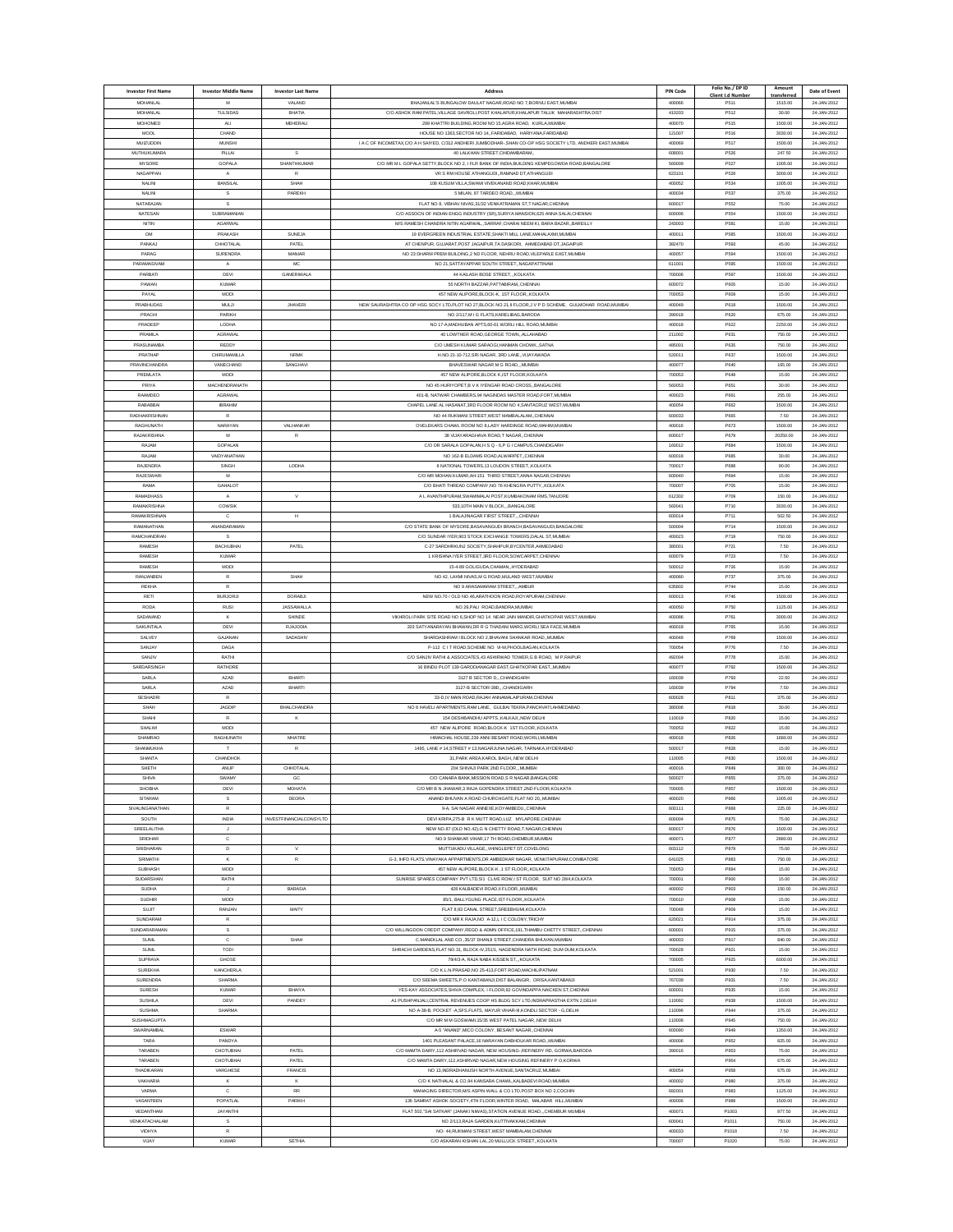| <b>Investor First Name</b>        | <b>Investor Middle Name</b> | <b>Investor Last Name</b>      | Address                                                                                                                                                             | <b>PIN Code</b>  | Folio No./ DP ID<br>Client I.d Numbe | Amount<br>transferred | Date of Event              |
|-----------------------------------|-----------------------------|--------------------------------|---------------------------------------------------------------------------------------------------------------------------------------------------------------------|------------------|--------------------------------------|-----------------------|----------------------------|
| MOHANLAI                          | M                           | VALAND                         | BHAJAN AL'S BUNGALOW DALILAT NAGAR ROAD NO 7 BORIVI LEAST MUMBA                                                                                                     | 400066           | P511                                 | 1515.00               | 24-JAN-2012                |
| MOHANI AI<br>MOHOMED              | <b>TULSIDAS</b><br>ALI      | BHATIA<br>MEHERALI             | C/O ASHOK RAM PATEL, VILLAGE SAVROLI, POST KHALAPUR, KHALAPUR TALUK MAHARASHTRA DIST<br>299 KHATTRI BUILDING, ROOM NO 15, AGRA ROAD, KURLA, MUMBA                   | 410203<br>400070 | P512<br>P515                         | 30.00<br>1500.00      | 24-JAN-2012<br>24-JAN-2012 |
| MOOL                              | CHAND                       |                                | HOUSE NO 1363, SECTOR NO 14, FARIDABAD, HARIYANA, FARIDABAD                                                                                                         | 121007           | P516                                 | 3030.00               | 24-JAN-2012                |
| <b>MUIZUDDIN</b>                  | <b>MUNSHI</b>               |                                | I A C OF INCOMETAX, C/O A H SAIYED, C/312 ANDHERI JUMBODHAR-, SHAN CO-OP HSG SOCIETY LTD, ANDHERI EAST, MUMBAI                                                      | 400069           | P517                                 | 1500.00               | 24-JAN-2012                |
| MUTHUKUMAR/                       | PILLAI                      | $\mathbb S$                    | 40 LALKHAN STREET, CHIDAMBARAM,                                                                                                                                     | 608001           | P526                                 | 247.50                | 24-JAN-2012                |
| MYSORE<br>NAGAPPAN                | GOPALA<br>A                 | SHANTHKUMAR                    | C/O MR M L GOPALA SETTY, BLOCK NO 2, I FLR BANK OF INDIA, BUILDING KEMPEGOWDA ROAD, BANGALORE<br>VR S RM HOUSE ATHANGUDIRAMNAD DT.ATHANGUDI                         | 560009<br>623101 | P527<br>P528                         | 1005.00<br>3000.00    | 24-JAN-2012<br>24-JAN-2012 |
| NALIN                             | BANSILAL                    | SHAH                           | 108 KUSUM VILLA, SWAMI VIVEKANAND ROAD, KHAR, MUMBA                                                                                                                 | 400052           | P534                                 | 1005.00               | 24-JAN-2012                |
| NALINI                            | s                           | PAREKH                         | 5 MILAN, 87 TARDEO ROAD,,,MUMBAI                                                                                                                                    | 400034           | P537                                 | 375.00                | 24-JAN-2012                |
| NATARAJAN                         | s                           |                                | FLAT NO 8. VIBHAV NIVAS.31/32 VENKATRAMAN ST.T NAGAR.CHENNAI                                                                                                        | 600017           | P552                                 | 75.00                 | 24-JAN-2012                |
| NATESAN<br>NITIN                  | SUBRAMANIAN<br>AGARWAL      |                                | C/O ASSOCN OF INDIAN ENGG INDUSTRY (SR), SURIYA MANSION, 625 ANNA SALAI, CHENNAI<br>M/S RAMESH CHANDRA NITIN AGARWAL., SARRAF, CHARAI NEEM KI, BARA BAZAR, BAREILLY | 600006<br>243003 | P554<br>P581                         | 1500.00<br>15.00      | 24-JAN-2012<br>24-JAN-2012 |
| OM                                | PRAKASH                     | <b>SUNEJA</b>                  | 19 EVERGREEN INDUSTRIAL ESTATE.SHAKTI MILL LANE.MAHALAXMLMUMBA                                                                                                      | 400011           | P585                                 | 1500.00               | 24-JAN-2012                |
| <b>PANKAI</b>                     | CHHOTALAI                   | PATEL                          | AT CHENPUR, GUJARAT, POST JAGAIPUR, TA DASKORI, AHMEDABAD DT, JAGAIPUR                                                                                              | 382470           | P593                                 | 45.00                 | 24-JAN-2012                |
| PARAG                             | <b>SURENDRA</b>             | MANIAR                         | NO 23 DHARM PREM BUILDING, 2 ND FLOOR, NEHRU ROAD, VILEPARLE EAST, MUMBAI                                                                                           | 400057           | P594                                 | 1500.00               | 24-JAN-2012                |
| PARAMASIVAM<br>PARBATI            | $\mathbf{A}$<br>DEVI        | MC<br><b>GANERIVALA</b>        | NO 21. SATTAYAPPAR SOUTH STREET NAGAPATTINAM<br>44 KAILASH BOSE STREET, KOLKATA                                                                                     | 611001<br>700006 | P595<br>P597                         | 1500.00<br>1500.00    | 24-JAN-2012<br>24-JAN-2012 |
| PAWAN                             | <b>KUMAR</b>                |                                | 55 NORTH BAZZAR, PATTABIRAM, CHENNA                                                                                                                                 | 600072           | P605                                 | 15.00                 | 24-JAN-2012                |
| PAYAL                             | MODI                        |                                | 457 NEW ALIPORE BLOCK-K. 1ST FLOOR. KOLKATA                                                                                                                         | 700053           | P609                                 | 15.00                 | 24-JAN-2012                |
| <b>DRABLILIDAS</b>                | M.ILI                       | <b>JHAVER</b>                  | NEW SAURASHTRA CO OP HSG SOCY LTD, PLOT NO 27, BLOCK NO 21, II FLOOR, J V P D SCHEME, GULMOHAR ROAD, MUMBAI                                                         | 400049           | P619                                 | 1500.00               | 24-1AN-2012                |
| PRACHI<br>PRADEEP                 | PARIKH<br>LODHA             |                                | NO 2/117,M I G FLATS, KARELIBAG, BARODA<br>NO 17-A MADHUBAN APTS.60-61 WORLI HILL ROAD.MUMBAI                                                                       | 390018<br>400018 | P620<br>P622                         | 675.00<br>2250.00     | 24-JAN-2012<br>24-JAN-2012 |
| PRAMILA                           | AGRAWA                      |                                | 40 LOWTHER ROAD, GEORGE TOWN, ALLAHABAD                                                                                                                             | 211002           | P631                                 | 750.00                | 24-JAN-2012                |
| PRASUNAMBA                        | REDDY                       |                                | C/O UMESH KUMAR SARAOGI, HANMAN CHOWK,, SATNA                                                                                                                       | 485001           | P635                                 | 750.00                | 24-JAN-2012                |
| PRATHAF                           | CHIRUMAMILLA                | <b>NRM</b>                     | H.NO.21-10-712, SRI NAGAR, 3RD LANE, VIJAYAWAD/                                                                                                                     | 520011           | P637                                 | 1500.00               | 24-JAN-2012                |
| PRAVINCHANDRA<br>PREMLATA         | VANECHAND<br>MOD            | SANGHAVI                       | BHAVESWAR NAGAR M G ROAD, , MUMBA<br>457 NEW ALIPORE, BLOCK K, IST FLOOR, KOLKAT,                                                                                   | 400077<br>700053 | P640<br>P648                         | 165.00<br>15.00       | 24-JAN-2012<br>24-JAN-2012 |
| PRIYA                             | MACHENDRANATH               |                                | NO 45 HURIYOPET,B V K IYENGAR ROAD CROSS, BANGALORE                                                                                                                 | 560053           | P651                                 | 30.00                 | 24-JAN-2012                |
| RAAMDEO                           | <b>AGRAWAL</b>              |                                | 401-B, NATWAR CHAMBERS, 94 NAGINDAS MASTER ROAD, FORT, MUMBAI                                                                                                       | 400023           | P661                                 | 255.00                | 24-JAN-2012                |
| RABABBA                           | <b>IBRAHIM</b>              |                                | CHAPEL LANE AL HASANAT, 3RD FLOOR ROOM NO 4, SANTACRUZ WEST, MUMBA                                                                                                  | 400054           | P662                                 | 1500.00               | 24-JAN-2012                |
| RADHAKRISHNAN<br><b>RAGHUNATH</b> | $\mathsf{R}$<br>NARAYAN     | VALHANKAR                      | NO 44 RUKMANI STREET, WEST MAMBALALAM, CHENNA<br>OVELEKARS CHAWL ROOM NO 8,LADY HARDINGE ROAD, MAHIM, MUMBAI                                                        | 600033<br>400016 | P665<br>P673                         | 7.50<br>1500.00       | 24-JAN-2012<br>24-JAN-2012 |
| RAJAKRISHNA                       | M                           | R                              | 38 VIJAYARAGHAVA ROAD,T NAGAR,,CHENNA                                                                                                                               | 600017           | P679                                 | 20250.00              | 24-JAN-2012                |
| RAJAM                             | <b>GOPALAN</b>              |                                | C/O DR SARALA GOPALAN, H S Q - 6, P G I CAMPUS, CHANDIGARH                                                                                                          | 160012           | P684                                 | 1500.00               | 24-JAN-2012                |
| RAJAM                             | VAIDYANATHAN                |                                | NO 162-B ELDAMS ROAD ALWARPET. CHENNAL                                                                                                                              | 600018           | P685                                 | 30.00                 | 24-JAN-2012                |
| RAJENDR/                          | SINGH<br>M                  | LODHA                          | 8 NATIONAL TOWERS, 13 LOUDON STREET, KOLKATA                                                                                                                        | 700017           | P688                                 | 90.00                 | 24-JAN-2012                |
| RAJESWAR<br>RAMA                  | <b>GAHALOT</b>              |                                | C/O MR MOHAN KUMAR, AH-151 THIRD STREET, ANNA NAGAR, CHENNAI<br>C/O BHATI THREAD COMPANY.NO 76 KHENGRA PUTTY KOLKATA                                                | 600040<br>700007 | P694<br>P705                         | 15.00<br>15.00        | 24-JAN-2012<br>24-JAN-2012 |
| RAMADHASS                         | A                           | V                              | A L AVANTHIPURAM, SWAMIMALAI POST, KUMBAKONAM RMS, TANJORE                                                                                                          | 612302           | P709                                 | 150.00                | 24-JAN-2012                |
| RAMAKRISHNA                       | <b>COWSIN</b>               |                                | 533.10TH MAIN V BLOCKBANGALORE                                                                                                                                      | 560041           | P710                                 | 3030.00               | 24-JAN-2012                |
| RAMAKRISHNAN<br>RAMANATHAN        | $\mathbf{C}$                | н                              | 1 BALAJINAGAR FIRST STREETCHENNAL                                                                                                                                   | 600014<br>500004 | P711<br>P714                         | 502.50                | 24-JAN-2012                |
| RAMCHANDRAN                       | ANANDARAMAN                 |                                | C/O STATE BANK OF MYSORE, BASAVANGUDI BRANCH, BASAVANGUDI, BANGALORE<br>C/O SUNDAR IYER,903 STOCK EXCHANGE TOWERS, DALAL ST, MUMBA                                  | 400023           | P719                                 | 1500.00<br>750.00     | 24-JAN-2012<br>24-JAN-2012 |
| RAMESH                            | <b>BACHUBHA</b>             | PATEL                          | C-27 SARDHRKUNJ SOCIETY.SHAHPUR.BYCENTER.AHMEDABAD                                                                                                                  | 380001           | P721                                 | 7.50                  | 24-JAN-2012                |
| RAMESH                            | KUMAR                       |                                | 1 KRISHNA IYER STREET.3RD FLOOR.SOWCARPET.CHENNA                                                                                                                    | 600079           | P723                                 | 7.50                  | 24-1AN-2012                |
| RAMESH                            | MODI                        |                                | 15-4-89 GOLIGUDA, CHAMAN, HYDERABAD                                                                                                                                 | 500012           | P726                                 | 15.00                 | 24-JAN-2012                |
| RANJANBEN<br>REKHA                | $\mathbb R$<br>$\mathbb{R}$ | SHAH                           | NO 42, LAXMI NIVAS,M G ROAD,MULAND WEST.MUMBAI<br>NO 9 ARASAMARAM STREET,AMBUR                                                                                      | 400080<br>635802 | P737<br>P744                         | 375.00<br>15.00       | 24-JAN-2012<br>24-JAN-2012 |
| RETI                              | <b>BURJORJI</b>             | <b>DORABJ</b>                  | NEW NO.70 / OLD NO.46, ARATHOON ROAD, ROYAPURAM, CHENNAL                                                                                                            | 600013           | P746                                 | 1500.00               | 24-JAN-2012                |
| <b>RODA</b>                       | <b>RUS</b>                  | <b>JASSAWALLA</b>              | NO 29.PALI ROAD.BANDRA.MUMBA                                                                                                                                        | 400050           | P750                                 | 1125.00               | 24-JAN-2012                |
| SADANAND<br>SAKUNTALA             | $\mathbf{K}$<br>DEVI        | SHINDE<br><b>RJAJODI</b>       | VIKHROLI PARK SITE ROAD NO 6,SHOP NO 14 NEAR JAIN MANDIR, GHATKOPAR WEST, MUMBAI<br>203 SATYANARAYAN BHAWAN, DR R G THADANI MARG, WORLI SEA FACE, MUMBA             | 400086<br>400018 | P761<br>P765                         | 3000.00<br>15.00      | 24-JAN-2012<br>24-JAN-2012 |
| SALVEY                            | GAJANAN                     | SADASHIN                       | SHARDASHRAM I BLOCK NO 2.BHAVANI SHANKAR ROAD. MUMBAI                                                                                                               | 400048           | P769                                 | 1500.00               | 24-JAN-2012                |
| SANJAY                            | DAGA                        |                                | P-112 C I T ROAD, SCHEME NO VI-M, PHOOLBAGAN, KOLKATA                                                                                                               | 700054           | P776                                 | 7.50                  | 24-JAN-2012                |
| SANJIV                            | RATHI                       |                                | C/O SANJIV RATHI & ASSOCIATES,43 ASHIRWAD TOWER,G B ROAD, M P,RAIPUR                                                                                                | 492004           | P778                                 | 15.00                 | 24-JAN-2012                |
| SARDARSINGH<br>SARLA              | RATHORE                     | <b>BHART</b>                   | 16 BINDU PLOT 139 GARODIANAGAR EAST, GHATKOPAR EAST, MUMBA                                                                                                          | 400077<br>160039 | P792                                 | 1500.00               | 24-JAN-2012<br>24-JAN-2012 |
| SARLA                             | <b>AZAD</b><br><b>AZAD</b>  | BHART                          | 3127 B SECTOR D., CHANDIGARI<br>3127-B SECTOR-39D, CHANDIGARI                                                                                                       | 160039           | P793<br>P794                         | 22.50<br>7.50         | 24-JAN-2012                |
| <b>SESHADR</b>                    | R                           |                                | 33-D, IV MAIN ROAD, RAJAH ANNAMALAIPURAM, CHENNAI                                                                                                                   | 600028           | P811                                 | 375.00                | 24-JAN-2012                |
| SHAH                              | <b>JAGDIP</b>               | <b>BHALCHANDRA</b>             | NO 8 HAVELI APARTMENTS, RAM LANE, GULBAI TEKRA, PANCHVATI, AHMEDABAD                                                                                                | 380006           | P818                                 | 30.00                 | 24-JAN-2012                |
| SHAHI                             | $\mathbb{R}$                | K                              | 154 DESHBANDHU APPTS., KALKAJI, NEW DELH                                                                                                                            | 110019           | P820                                 | 15.00                 | 24-JAN-2012                |
| SHALWI<br>SHAMRAO                 | MODI<br>RAGHUNATH           | MHATRE                         | 457 NEW ALIPORE ROAD, BLOCK-K 1ST FLOOR, KOLKATA<br>HIMACHAL HOUSE.239 ANNI BESANT ROAD.WORLI.MUMBA                                                                 | 700053<br>400018 | P822<br>P826                         | 15.00<br>1680.00      | 24-JAN-2012<br>24-JAN-2012 |
| SHANMUKHA                         |                             | R                              | 1495, LANE # 14, STREET # 13, NAGARJUNA NAGAR, TARNAKA, HYDERABAD                                                                                                   | 500017           | P828                                 | 15.00                 | 24-JAN-2012                |
| SHANTA                            | <b>CHANDHOP</b>             |                                | 31, PARK AREA, KAROL BAGH, NEW DELHI                                                                                                                                | 110005           | P830                                 | 1500.00               | 24-JAN-2012                |
| SHETH                             | ANUP                        | CHHOTALAL                      | 204 SHIVAJI PARK 2ND FLOOR  MUMBA                                                                                                                                   | 400016           | P849                                 | 300.00                | 24-JAN-2012                |
| SHIV/<br>SHOBHA                   | <b>SWAM</b><br>DEVI         | <b>MOHATA</b>                  | C/O CANARA BANK, MISSION ROAD, S R NAGAR, BANGALORE<br>C/O MR B N JHAWAR,3 RAJA GOPENDRA STREET,2ND FLOOR,KOLKATA                                                   | 560027<br>700005 | P857                                 | 375.00<br>1500.00     | 24-JAN-2012<br>24-JAN-2012 |
| <b>SITARAM</b>                    | s                           | DEORA                          | ANAND BHUVAN A ROAD CHURCHGATE FLAT NO 20. MUMBAL                                                                                                                   | 400020           | P866                                 | 1005.00               | 24-JAN-2012                |
| SIVALING ANATHAN                  | R                           |                                | 9-A SALNAGAR ANNEXE KOYAMBEDU CHENNAL                                                                                                                               | 600111           | PARR                                 | 225.00                | 24-14N-2012                |
| SOUTH<br>SREELALITHA              | INDIA<br>$\mathbf{J}$       | <b>INVESTFINANCIALCONSYLTD</b> | DEVI KRIPA,275-B R K MUTT ROAD,LUZ MYLAPORE,CHENNAI<br>NEW NO.87 (OLD NO.42).G N CHETTY ROAD.T.NAGAR.CHENNAL                                                        | 600004<br>600017 | P875<br>P876                         | 75.00<br>1500.00      | 24-JAN-2012<br>24-JAN-2012 |
| SRIDHAR                           | $_{\rm c}$                  |                                | NO.9 SHANKAR VIHAR, 17 TH ROAD, CHEMBUR, MUMBAI                                                                                                                     | 400071           | P877                                 | 2880.00               | 24-JAN-2012                |
| SRIDHARAN                         | $\mathsf D$                 | $\mathbf{v}$                   | MUTTUKADU VILLAGE, VHINGLEPET DT, COVELONG                                                                                                                          | 603112           | P879                                 | 75.00                 | 24-JAN-2012                |
| SRIMATHI                          | $\mathbf{K}$                | $\mathsf{R}$                   | G-3. IHFD FLATS VINAYAKA APPARTMENTS.DR AMBEDKAR NAGAR. VENKITAPURAM.COIMBATORE                                                                                     | 641025           | P883                                 | 750.00                | 24-JAN-2012                |
| <b>SUBHASH</b><br>SUDARSHAN       | MODI<br>RATHI               |                                | 457 NEW ALIPORE BLOCK-K .1 ST FLOOR KOLKAT/<br>SUNRISE SPARES COMPANY PVT LTD,5/1 CLIVE ROW,I ST FLOOR, SUIT NO 28/4, KOLKATA                                       | 700053<br>700001 | PR94<br>P900                         | 15.00<br>15.00        | 24-14N-2012<br>24-JAN-2012 |
| <b>SUDHA</b>                      | $\mathbf{J}$                | <b>BARASIA</b>                 | 428 KALBADEVI ROAD.II FLOORMUMBAI                                                                                                                                   | 400002           | P903                                 | 150.00                | 24-JAN-2012                |
| SUDHIR                            | MODI                        |                                | 85/1, BALLYGUNG PLACE.IST FLOORKOLKATA                                                                                                                              | 700010           | P908                                 | 15.00                 | 24-JAN-2012                |
| SUJIT                             | RANJAN                      | MAITY                          | FLAT 8,93 CANAL STREET, SREEBHUMI, KOLKATA                                                                                                                          | 700048           | P909                                 | 15.00                 | 24-JAN-2012                |
| SUNDARAM<br>SLINDAR ARAMAN        | $\mathbb{R}$<br>s           |                                | C/O MR K RAJA, NO A-12, L I C COLONY, TRICHY                                                                                                                        | 620021<br>600001 | P914<br>P915                         | 375.00<br>375.00      | 24-JAN-2012<br>24-1AN-2012 |
| <b>SUNIL</b>                      | $\mathbf c$                 | SHAH                           | C/O WILLINGDON CREDIT COMPANY, REGD & ADMN OFFICE, 191, THAMBU CHETTY STREET, CHENNAI<br>C.MANEKLAL AND CO.,35/37 DHANJI STREET, CHANDRA BHUVAN, MUMBA              | 400003           | P917                                 | 840.00                | 24-JAN-2012                |
| <b>SUNIL</b>                      | TODI                        |                                | SHRACHI GARDENS, FLAT NO.31, BLOCK-IV, 251/1, NAGENDRA NATH ROAD, DUM DUM, KOLKATA                                                                                  | 700028           | P921                                 | 15.00                 | 24-JAN-2012                |
| SUPRAVA                           | GHOSE                       |                                | 79/4/3-A. RAJA NABA KISSEN STKOLKATA                                                                                                                                | 700005           | P925                                 | 6000.00               | 24-JAN-2012                |
| <b>SUREKHA</b>                    | <b>KANCHERLA</b>            |                                | C/O K.L.N.PRASAD, NO 25-413, FORT ROAD, MACHILIPATNAM                                                                                                               | 521001           | P930                                 | 7.50                  | 24-JAN-2012                |
| <b>SURENDRA</b><br>SURESH         | SHARMA<br><b>KUMAR</b>      | BHAIYA                         | C/O SEEMA SWEETS, P.O KANTABANJI, DIST BALANGIR, ORISA, KANTABANJI<br>YES-KAY ASSOCIATES.SHIVA COMPLEX. I FLOOR.92 GOVINDAPPA NAICKEN ST.CHENNA                     | 767039<br>600001 | P931<br>P935                         | 7.50<br>15.00         | 24-JAN-2012<br>24-JAN-2012 |
| <b>SUSHILA</b>                    | DEVI                        | PANDEY                         | A1 PUSHPANJALI, CENTRAL REVENUES COOP HS BLDG SCY LTD, INDRAPRASTHA EXTN 2, DELHI                                                                                   | 110092           | P938                                 | 1500.00               | 24-JAN-2012                |
| <b>SUSHMA</b>                     | SHARMA                      |                                | NO A-38-B, POCKET -A,SFS.FLATS, MAYUR VIHAR-III,KONDLI SECTOR - G,DELHI                                                                                             | 110096           | P944                                 | 375.00                | 24-JAN-2012                |
| <b>SUSHMAGUPTA</b>                |                             |                                | C/O MR M M GOSWAMI.15/35 WEST PATEL NAGARNEW DELHI                                                                                                                  | 110008           | P945                                 | 750.00                | 24-JAN-2012                |
| SWARNAMBAL<br>TARA                | <b>ESWAR</b><br>PANDYA      |                                | A-5 "ANAND", MICO COLONY, BESANT NAGAR, CHENNAL<br>1401 PLEASANT PALACE, 16 NARAYAN DABHOLKAR ROAD, MUMBAI                                                          | 600090<br>400006 | P949<br>P952                         | 1350.00<br>825.00     | 24-JAN-2012<br>24-JAN-2012 |
| TARABEN                           | CHOTUBHA                    | PATEL                          | C/O MAMTA DAIRY 112 ASHIRVAD NAGAR. NEW HOUSING- REFINERY RD, GORWA BARODA                                                                                          | 390016           | P953                                 | 75.00                 | 24-JAN-2012                |
| TARABEN                           | CHOTUBHAL                   | PATEL                          | C/O MAMTA DAIRY.112.ASHIRVAD NAGAR.NEW HOUSING REFINERY P O.KORWA                                                                                                   |                  | P954                                 | 675.00                | 24-1AN-2012                |
| THADIKARAN                        | VARGHESE                    | FRANCIS                        | NO 13, INDRADHANUSH NORTH AVENUE, SANTACRUZ, MUMBAI                                                                                                                 | 400054           | P958                                 | 675.00                | 24-JAN-2012                |
| VAKHARIA<br>VARMA                 | К<br>$\mathbb C$            | к<br><b>RR</b>                 | C/O K NATHALAL & CO.94 KANSARA CHAWL KALBADEVI ROAD.MUMBAI<br>MANAGING DIRECTOR, MS ASPIN WALL & CO LTD, POST BOX NO 2, COCHIN                                      | 400002<br>682001 | P980<br>P983                         | 375.00<br>1125.00     | 24-JAN-2012<br>24-JAN-2012 |
| VASANTBEN                         | POPATLAL                    | <b>PARIKH</b>                  | 136 SAMRAT ASHOK SOCIETY,4TH FLOOR,WINTER ROAD, MALABAR HILL,MUMBAI                                                                                                 | 400006           | P988                                 | 1500.00               | 24-JAN-2012                |
| VEDANTHAN                         | JAYANTHI                    |                                | FLAT 502."SAI SATKAR" (JANAKI NIWAS).STATION AVENUE ROAD  CHEMBUR MUMBAL                                                                                            | 400071           | P1003                                | 877.50                | 24-JAN-2012                |
| VENKATACHALAM                     | s                           |                                | NO 2/113 RAJA GARDEN KUTTIVAKKAM CHENNA                                                                                                                             | 600041           | P1011                                | 750.00                | 24-JAN-2012                |
| VIDHYA<br>VIJAY                   | $\mathsf R$<br><b>KUMAR</b> | <b>SETHIA</b>                  | NO- 44, RUKMANI STREET, WEST MAMBALAM, CHENNA<br>C/O ASKARAN KISHAN LAL 20 MULLUCK STREETKOLKATA                                                                    | 400033<br>700007 | P1018<br>P1020                       | 7.50<br>75.00         | 24-JAN-2012<br>24-JAN-2012 |
|                                   |                             |                                |                                                                                                                                                                     |                  |                                      |                       |                            |